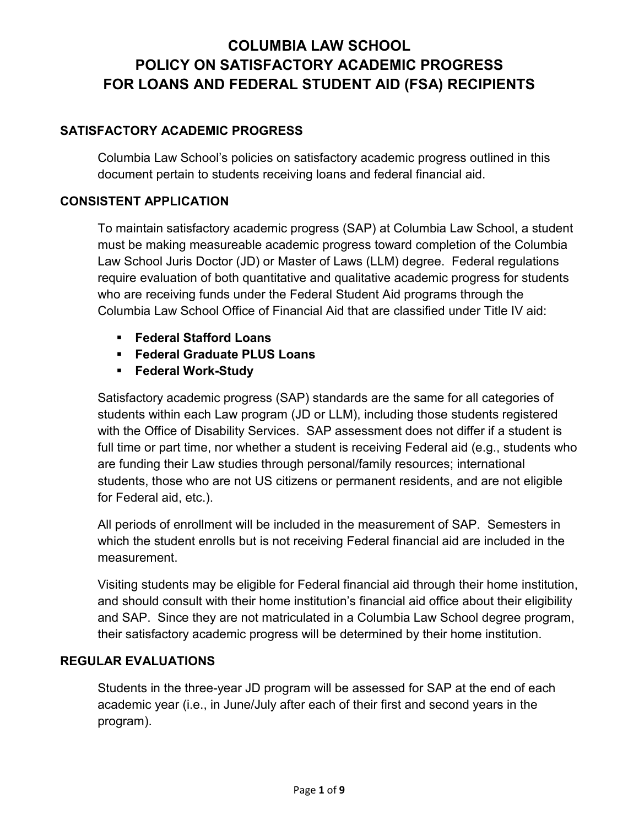## **SATISFACTORY ACADEMIC PROGRESS**

Columbia Law School's policies on satisfactory academic progress outlined in this document pertain to students receiving loans and federal financial aid.

## **CONSISTENT APPLICATION**

To maintain satisfactory academic progress (SAP) at Columbia Law School, a student must be making measureable academic progress toward completion of the Columbia Law School Juris Doctor (JD) or Master of Laws (LLM) degree. Federal regulations require evaluation of both quantitative and qualitative academic progress for students who are receiving funds under the Federal Student Aid programs through the Columbia Law School Office of Financial Aid that are classified under Title IV aid:

- **Federal Stafford Loans**
- **Federal Graduate PLUS Loans**
- **Federal Work-Study**

Satisfactory academic progress (SAP) standards are the same for all categories of students within each Law program (JD or LLM), including those students registered with the Office of Disability Services. SAP assessment does not differ if a student is full time or part time, nor whether a student is receiving Federal aid (e.g., students who are funding their Law studies through personal/family resources; international students, those who are not US citizens or permanent residents, and are not eligible for Federal aid, etc.).

All periods of enrollment will be included in the measurement of SAP. Semesters in which the student enrolls but is not receiving Federal financial aid are included in the measurement.

Visiting students may be eligible for Federal financial aid through their home institution, and should consult with their home institution's financial aid office about their eligibility and SAP. Since they are not matriculated in a Columbia Law School degree program, their satisfactory academic progress will be determined by their home institution.

### **REGULAR EVALUATIONS**

Students in the three-year JD program will be assessed for SAP at the end of each academic year (i.e., in June/July after each of their first and second years in the program).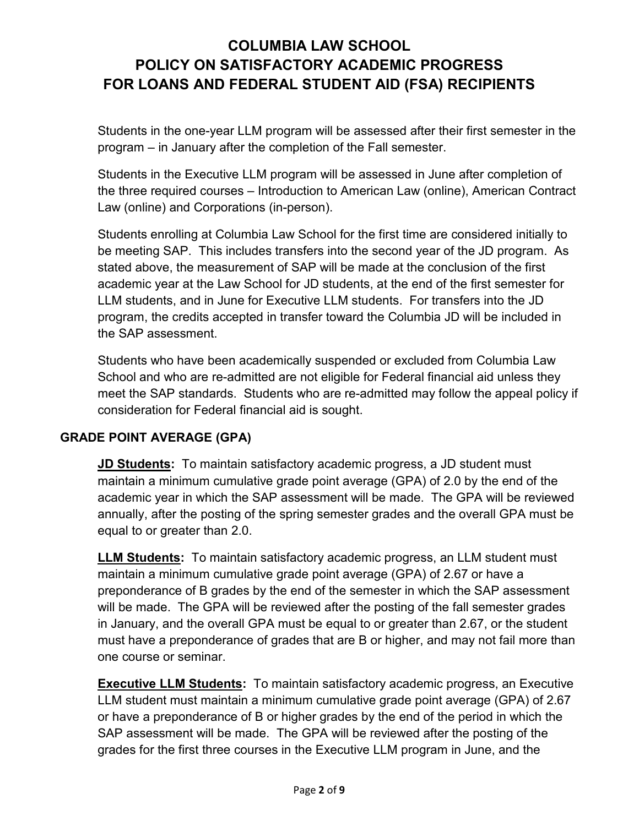Students in the one-year LLM program will be assessed after their first semester in the program – in January after the completion of the Fall semester.

Students in the Executive LLM program will be assessed in June after completion of the three required courses – Introduction to American Law (online), American Contract Law (online) and Corporations (in-person).

Students enrolling at Columbia Law School for the first time are considered initially to be meeting SAP. This includes transfers into the second year of the JD program. As stated above, the measurement of SAP will be made at the conclusion of the first academic year at the Law School for JD students, at the end of the first semester for LLM students, and in June for Executive LLM students. For transfers into the JD program, the credits accepted in transfer toward the Columbia JD will be included in the SAP assessment.

Students who have been academically suspended or excluded from Columbia Law School and who are re-admitted are not eligible for Federal financial aid unless they meet the SAP standards. Students who are re-admitted may follow the appeal policy if consideration for Federal financial aid is sought.

### **GRADE POINT AVERAGE (GPA)**

**JD Students:** To maintain satisfactory academic progress, a JD student must maintain a minimum cumulative grade point average (GPA) of 2.0 by the end of the academic year in which the SAP assessment will be made. The GPA will be reviewed annually, after the posting of the spring semester grades and the overall GPA must be equal to or greater than 2.0.

**LLM Students:** To maintain satisfactory academic progress, an LLM student must maintain a minimum cumulative grade point average (GPA) of 2.67 or have a preponderance of B grades by the end of the semester in which the SAP assessment will be made. The GPA will be reviewed after the posting of the fall semester grades in January, and the overall GPA must be equal to or greater than 2.67, or the student must have a preponderance of grades that are B or higher, and may not fail more than one course or seminar.

**Executive LLM Students:** To maintain satisfactory academic progress, an Executive LLM student must maintain a minimum cumulative grade point average (GPA) of 2.67 or have a preponderance of B or higher grades by the end of the period in which the SAP assessment will be made. The GPA will be reviewed after the posting of the grades for the first three courses in the Executive LLM program in June, and the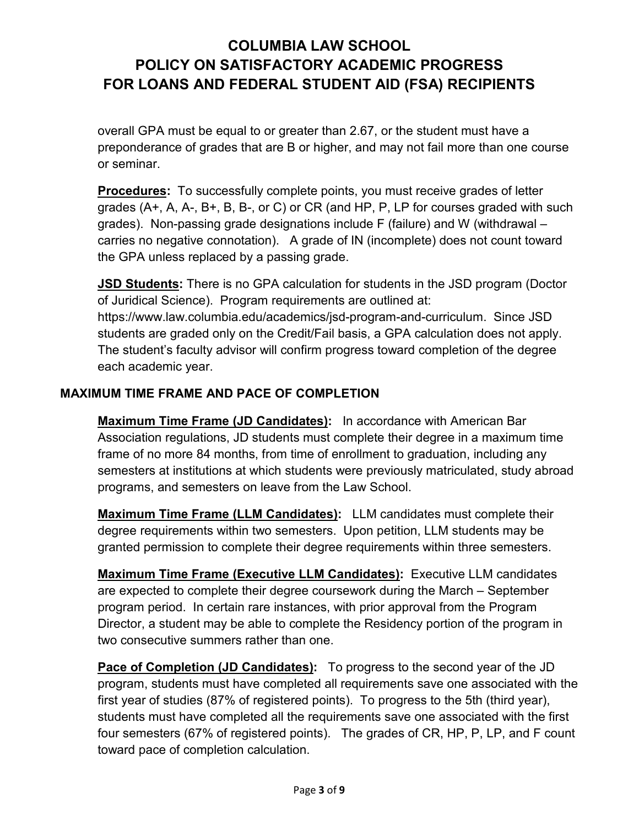overall GPA must be equal to or greater than 2.67, or the student must have a preponderance of grades that are B or higher, and may not fail more than one course or seminar.

**Procedures:** To successfully complete points, you must receive grades of letter grades (A+, A, A-, B+, B, B-, or C) or CR (and HP, P, LP for courses graded with such grades). Non-passing grade designations include F (failure) and W (withdrawal – carries no negative connotation). A grade of IN (incomplete) does not count toward the GPA unless replaced by a passing grade.

**JSD Students:** There is no GPA calculation for students in the JSD program (Doctor of Juridical Science). Program requirements are outlined at: https://www.law.columbia.edu/academics/jsd-program-and-curriculum. Since JSD students are graded only on the Credit/Fail basis, a GPA calculation does not apply. The student's faculty advisor will confirm progress toward completion of the degree each academic year.

### **MAXIMUM TIME FRAME AND PACE OF COMPLETION**

**Maximum Time Frame (JD Candidates):** In accordance with American Bar Association regulations, JD students must complete their degree in a maximum time frame of no more 84 months, from time of enrollment to graduation, including any semesters at institutions at which students were previously matriculated, study abroad programs, and semesters on leave from the Law School.

**Maximum Time Frame (LLM Candidates):** LLM candidates must complete their degree requirements within two semesters. Upon petition, LLM students may be granted permission to complete their degree requirements within three semesters.

**Maximum Time Frame (Executive LLM Candidates):** Executive LLM candidates are expected to complete their degree coursework during the March – September program period. In certain rare instances, with prior approval from the Program Director, a student may be able to complete the Residency portion of the program in two consecutive summers rather than one.

**Pace of Completion (JD Candidates):** To progress to the second year of the JD program, students must have completed all requirements save one associated with the first year of studies (87% of registered points). To progress to the 5th (third year), students must have completed all the requirements save one associated with the first four semesters (67% of registered points). The grades of CR, HP, P, LP, and F count toward pace of completion calculation.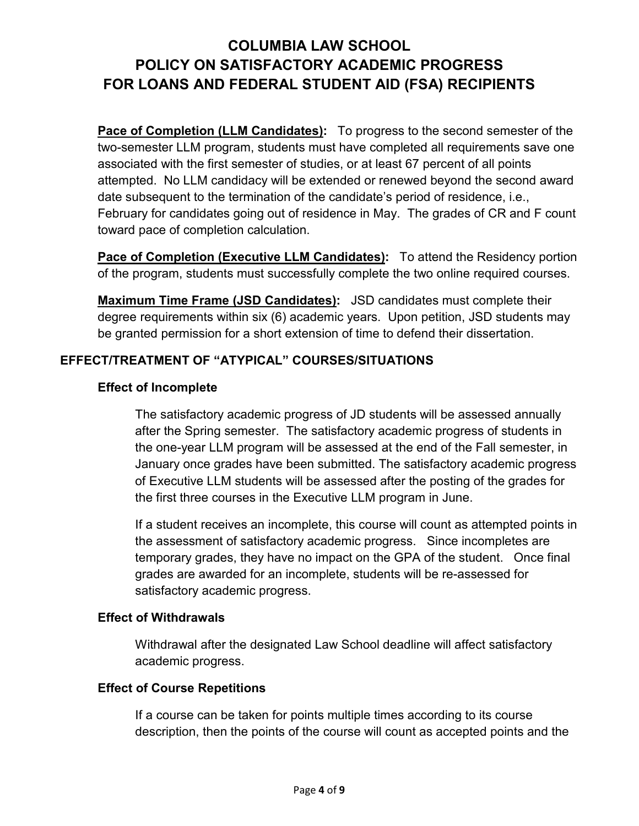**Pace of Completion (LLM Candidates):** To progress to the second semester of the two-semester LLM program, students must have completed all requirements save one associated with the first semester of studies, or at least 67 percent of all points attempted. No LLM candidacy will be extended or renewed beyond the second award date subsequent to the termination of the candidate's period of residence, i.e., February for candidates going out of residence in May. The grades of CR and F count toward pace of completion calculation.

**Pace of Completion (Executive LLM Candidates):** To attend the Residency portion of the program, students must successfully complete the two online required courses.

**Maximum Time Frame (JSD Candidates):** JSD candidates must complete their degree requirements within six (6) academic years. Upon petition, JSD students may be granted permission for a short extension of time to defend their dissertation.

## **EFFECT/TREATMENT OF "ATYPICAL" COURSES/SITUATIONS**

### **Effect of Incomplete**

The satisfactory academic progress of JD students will be assessed annually after the Spring semester. The satisfactory academic progress of students in the one-year LLM program will be assessed at the end of the Fall semester, in January once grades have been submitted. The satisfactory academic progress of Executive LLM students will be assessed after the posting of the grades for the first three courses in the Executive LLM program in June.

If a student receives an incomplete, this course will count as attempted points in the assessment of satisfactory academic progress. Since incompletes are temporary grades, they have no impact on the GPA of the student. Once final grades are awarded for an incomplete, students will be re-assessed for satisfactory academic progress.

### **Effect of Withdrawals**

Withdrawal after the designated Law School deadline will affect satisfactory academic progress.

### **Effect of Course Repetitions**

If a course can be taken for points multiple times according to its course description, then the points of the course will count as accepted points and the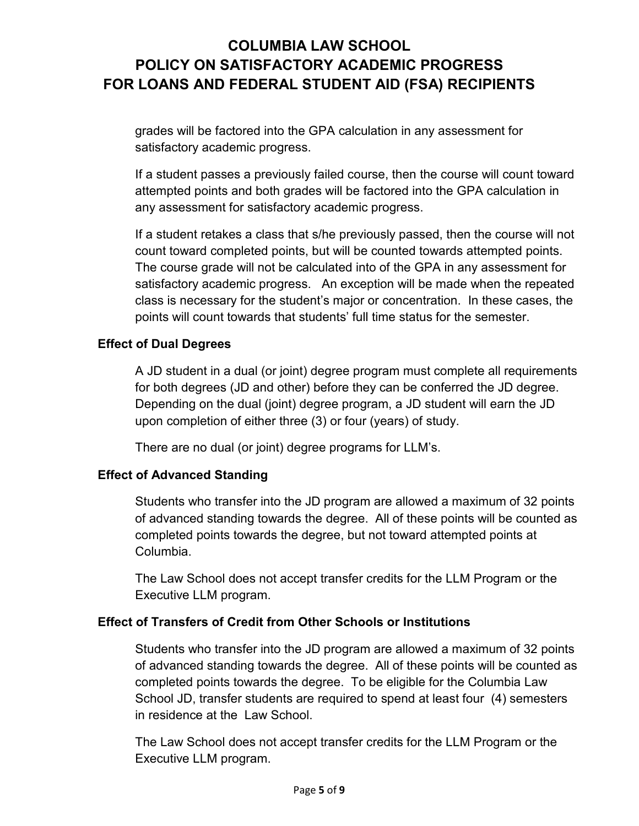grades will be factored into the GPA calculation in any assessment for satisfactory academic progress.

If a student passes a previously failed course, then the course will count toward attempted points and both grades will be factored into the GPA calculation in any assessment for satisfactory academic progress.

If a student retakes a class that s/he previously passed, then the course will not count toward completed points, but will be counted towards attempted points. The course grade will not be calculated into of the GPA in any assessment for satisfactory academic progress. An exception will be made when the repeated class is necessary for the student's major or concentration. In these cases, the points will count towards that students' full time status for the semester.

### **Effect of Dual Degrees**

A JD student in a dual (or joint) degree program must complete all requirements for both degrees (JD and other) before they can be conferred the JD degree. Depending on the dual (joint) degree program, a JD student will earn the JD upon completion of either three (3) or four (years) of study.

There are no dual (or joint) degree programs for LLM's.

### **Effect of Advanced Standing**

Students who transfer into the JD program are allowed a maximum of 32 points of advanced standing towards the degree. All of these points will be counted as completed points towards the degree, but not toward attempted points at Columbia.

The Law School does not accept transfer credits for the LLM Program or the Executive LLM program.

### **Effect of Transfers of Credit from Other Schools or Institutions**

Students who transfer into the JD program are allowed a maximum of 32 points of advanced standing towards the degree. All of these points will be counted as completed points towards the degree. To be eligible for the Columbia Law School JD, transfer students are required to spend at least four (4) semesters in residence at the Law School.

The Law School does not accept transfer credits for the LLM Program or the Executive LLM program.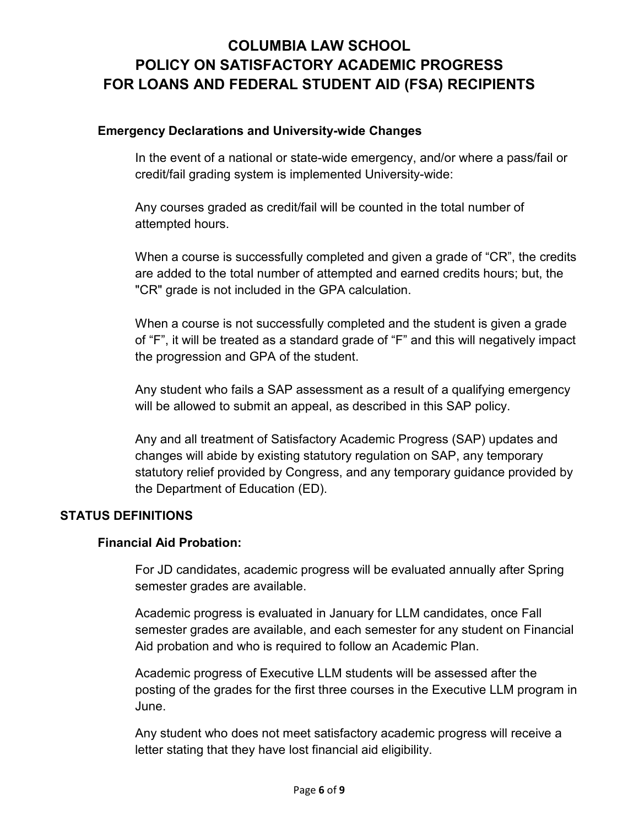### **Emergency Declarations and University-wide Changes**

In the event of a national or state-wide emergency, and/or where a pass/fail or credit/fail grading system is implemented University-wide:

Any courses graded as credit/fail will be counted in the total number of attempted hours.

When a course is successfully completed and given a grade of "CR", the credits are added to the total number of attempted and earned credits hours; but, the "CR" grade is not included in the GPA calculation.

When a course is not successfully completed and the student is given a grade of "F", it will be treated as a standard grade of "F" and this will negatively impact the progression and GPA of the student.

Any student who fails a SAP assessment as a result of a qualifying emergency will be allowed to submit an appeal, as described in this SAP policy.

Any and all treatment of Satisfactory Academic Progress (SAP) updates and changes will abide by existing statutory regulation on SAP, any temporary statutory relief provided by Congress, and any temporary guidance provided by the Department of Education (ED).

### **STATUS DEFINITIONS**

### **Financial Aid Probation:**

For JD candidates, academic progress will be evaluated annually after Spring semester grades are available.

Academic progress is evaluated in January for LLM candidates, once Fall semester grades are available, and each semester for any student on Financial Aid probation and who is required to follow an Academic Plan.

Academic progress of Executive LLM students will be assessed after the posting of the grades for the first three courses in the Executive LLM program in June.

Any student who does not meet satisfactory academic progress will receive a letter stating that they have lost financial aid eligibility.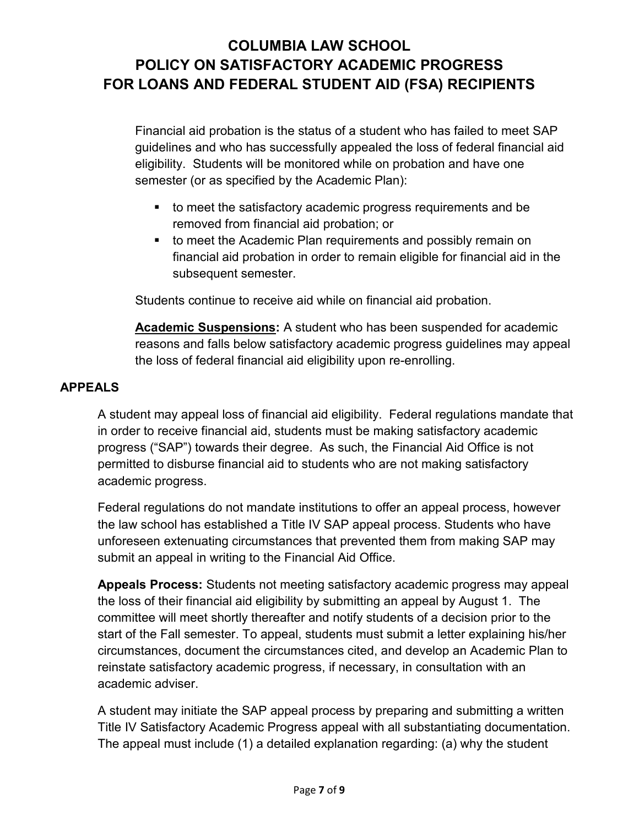Financial aid probation is the status of a student who has failed to meet SAP guidelines and who has successfully appealed the loss of federal financial aid eligibility. Students will be monitored while on probation and have one semester (or as specified by the Academic Plan):

- to meet the satisfactory academic progress requirements and be removed from financial aid probation; or
- **to meet the Academic Plan requirements and possibly remain on** financial aid probation in order to remain eligible for financial aid in the subsequent semester.

Students continue to receive aid while on financial aid probation.

**Academic Suspensions:** A student who has been suspended for academic reasons and falls below satisfactory academic progress guidelines may appeal the loss of federal financial aid eligibility upon re-enrolling.

### **APPEALS**

A student may appeal loss of financial aid eligibility. Federal regulations mandate that in order to receive financial aid, students must be making satisfactory academic progress ("SAP") towards their degree. As such, the Financial Aid Office is not permitted to disburse financial aid to students who are not making satisfactory academic progress.

Federal regulations do not mandate institutions to offer an appeal process, however the law school has established a Title IV SAP appeal process. Students who have unforeseen extenuating circumstances that prevented them from making SAP may submit an appeal in writing to the Financial Aid Office.

**Appeals Process:** Students not meeting satisfactory academic progress may appeal the loss of their financial aid eligibility by submitting an appeal by August 1. The committee will meet shortly thereafter and notify students of a decision prior to the start of the Fall semester. To appeal, students must submit a letter explaining his/her circumstances, document the circumstances cited, and develop an Academic Plan to reinstate satisfactory academic progress, if necessary, in consultation with an academic adviser.

A student may initiate the SAP appeal process by preparing and submitting a written Title IV Satisfactory Academic Progress appeal with all substantiating documentation. The appeal must include (1) a detailed explanation regarding: (a) why the student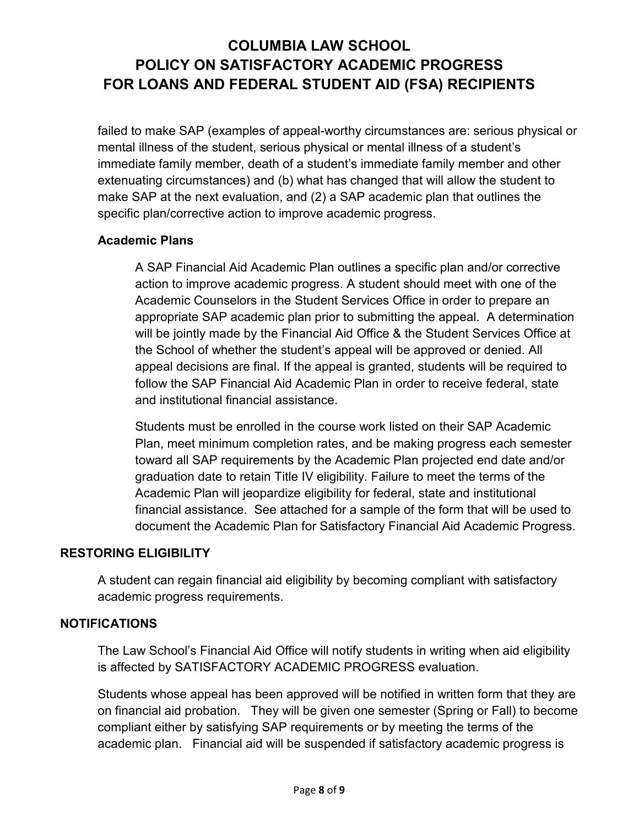failed to make SAP (examples of appeal-worthy circumstances are: serious physical or mental illness of the student, serious physical or mental illness of a student's immediate family member, death of a student's immediate family member and other extenuating circumstances) and (b) what has changed that will allow the student to make SAP at the next evaluation, and (2) a SAP academic plan that outlines the specific plan/corrective action to improve academic progress.

### **Academic Plans**

A SAP Financial Aid Academic Plan outlines a specific plan and/or corrective action to improve academic progress. A student should meet with one of the Academic Counselors in the Student Services Office in order to prepare an appropriate SAP academic plan prior to submitting the appeal. A determination will be jointly made by the Financial Aid Office & the Student Services Office at the School of whether the student's appeal will be approved or denied. All appeal decisions are final. If the appeal is granted, students will be required to follow the SAP Financial Aid Academic Plan in order to receive federal, state and institutional financial assistance.

Students must be enrolled in the course work listed on their SAP Academic Plan, meet minimum completion rates, and be making progress each semester toward all SAP requirements by the Academic Plan projected end date and/or graduation date to retain Title IV eligibility. Failure to meet the terms of the Academic Plan will jeopardize eligibility for federal, state and institutional financial assistance. See attached for a sample of the form that will be used to document the Academic Plan for Satisfactory Financial Aid Academic Progress.

### **RESTORING ELIGIBILITY**

A student can regain financial aid eligibility by becoming compliant with satisfactory academic progress requirements.

### **NOTIFICATIONS**

The Law School's Financial Aid Office will notify students in writing when aid eligibility is affected by SATISFACTORY ACADEMIC PROGRESS evaluation.

Students whose appeal has been approved will be notified in written form that they are on financial aid probation. They will be given one semester (Spring or Fall) to become compliant either by satisfying SAP requirements or by meeting the terms of the academic plan. Financial aid will be suspended if satisfactory academic progress is